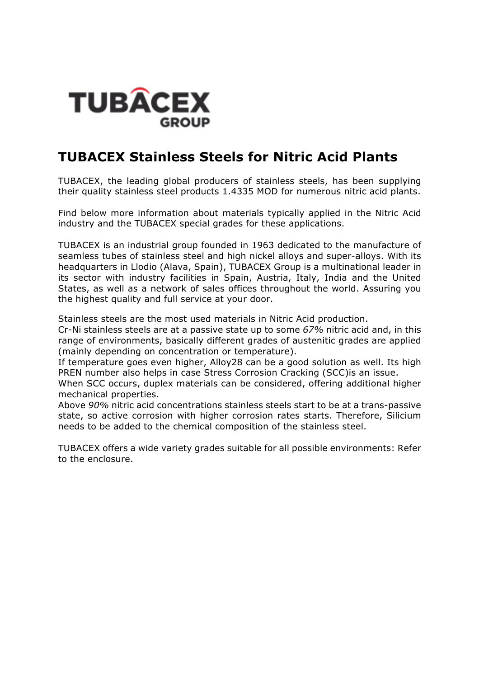

#### **TUBACEX Stainless Steels for Nitric Acid Plants**

TUBACEX, the leading global producers of stainless steels, has been supplying their quality stainless steel products 1.4335 MOD for numerous nitric acid plants.

Find below more information about materials typically applied in the Nitric Acid industry and the TUBACEX special grades for these applications.

TUBACEX is an industrial group founded in 1963 dedicated to the manufacture of seamless tubes of stainless steel and high nickel alloys and super-alloys. With its headquarters in Llodio (Alava, Spain), TUBACEX Group is a multinational leader in its sector with industry facilities in Spain, Austria, Italy, India and the United States, as well as a network of sales offices throughout the world. Assuring you the highest quality and full service at your door.

Stainless steels are the most used materials in Nitric Acid production.

Cr-Ni stainless steels are at a passive state up to some *67%* nitric acid and, in this range of environments, basically different grades of austenitic grades are applied (mainly depending on concentration or temperature).

If temperature goes even higher, Alloy28 can be a good solution as well. Its high PREN number also helps in case Stress Corrosion Cracking (SCC)is an issue.

When SCC occurs, duplex materials can be considered, offering additional higher mechanical properties.

Above *90%* nitric acid concentrations stainless steels start to be at a trans-passive state, so active corrosion with higher corrosion rates starts. Therefore, Silicium needs to be added to the chemical composition of the stainless steel.

TUBACEX offers a wide variety grades suitable for all possible environments: Refer to the enclosure.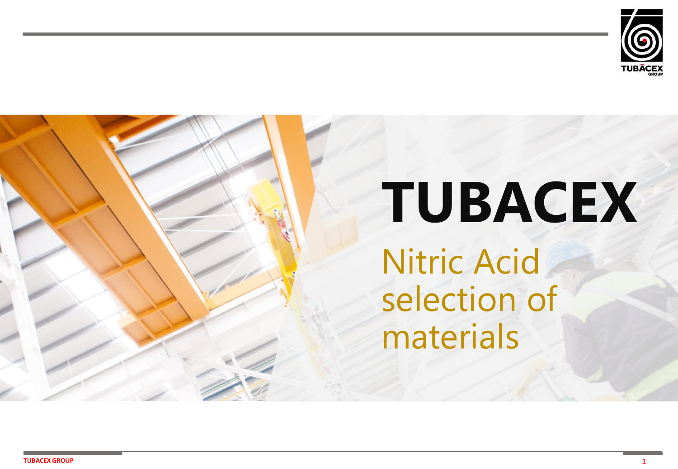

# **TUBACEX**  Nitric Acid selection of materials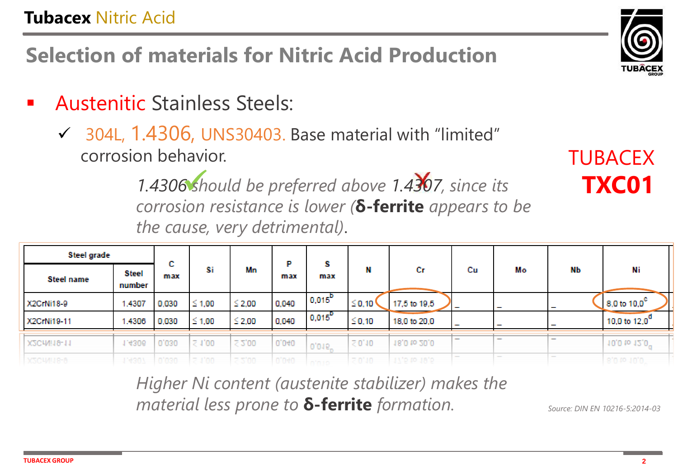**Selection of materials for Nitric Acid Production**

- **Austenitic Stainless Steels:** 
	- $\checkmark$  304L, 1.4306, UNS30403. Base material with "limited" corrosion behavior.

1.4306 should be preferred above 1.4307, since its *corrosion resistance is lower* ( $\delta$ -ferrite *appears to be the cause, very detrimental)*.

| Steel grade        |                 | e.          |                         |             | Р     | s                |             |              |                          |    |                          |                           |
|--------------------|-----------------|-------------|-------------------------|-------------|-------|------------------|-------------|--------------|--------------------------|----|--------------------------|---------------------------|
| <b>Steel name</b>  | Steel<br>number | u.<br>max   | Si                      | Mn          | max   | max              | N           | Сr           | Сu                       | Мо | NЬ                       | Ni                        |
| X2CrNi18-9         | 1.4307          | 0,030       | $\leq 1,00$             | $≤$ 2,00    | 0,040 | $10,015^{\rm D}$ | $\leq 0.10$ | 17,5 to 19,5 | $\overline{\phantom{a}}$ |    | $\sim$                   | 8,0 to 10,0 <sup>c</sup>  |
| X2CrNi19-11        | 1.4306          | 0,030       | $\leq 1,00$             | ≤ 2,00      | 0,040 | $0,015^{\circ}$  | $\leq$ 0,10 | 18,0 to 20,0 | $\overline{\phantom{a}}$ | -  | $\overline{\phantom{a}}$ | 10,0 to $12,0^d$          |
| X2CrNi19-11        | 1.4306          | 0,030       | $\leq 1,00$             | $\leq 2,00$ | 0,040 | 0,015"           | $\leq 0,10$ | 18,0 to 20,0 |                          |    | $\overline{\phantom{a}}$ | 10,0 to 12,0 <sup>0</sup> |
| <b>R-01IMIT0-R</b> | 114901          | infinition. | $=$ $1$ <sup>1</sup> mm | m minn      | n'nan | and later to any | 70'10       | C'RL 01 C'/L |                          |    |                          | n'n ro un'n               |

*Higher Ni content (austenite stabilizer) makes the material less prone to*  $\delta$ *-ferrite <i>formation.* 

*Source: DIN EN 10216-5:2014-03*



TUBACEX

**TXC01**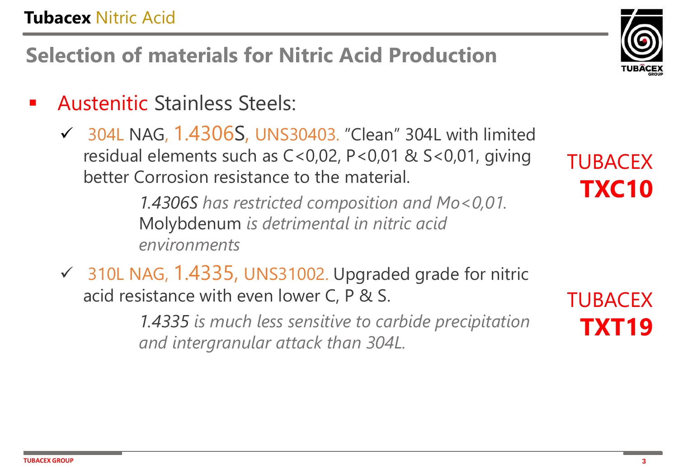### **Tubacex** Nitric Acid

**Selection of materials for Nitric Acid Production**

- **Austenitic Stainless Steels:** 
	- $\checkmark$  304L NAG, 1.4306S, UNS30403. "Clean" 304L with limited residual elements such as C<0,02, P<0,01 & S<0,01, giving better Corrosion resistance to the material.

*1.4306S has restricted composition and Mo<0,01.*  Molybdenum *is detrimental in nitric acid environments*

✓ 310L NAG, 1.4335, UNS31002. Upgraded grade for nitric acid resistance with even lower C, P & S.

> *1.4335 is much less sensitive to carbide precipitation and intergranular attack than 304L.*



TUBACEX

**TUBACEX** 

**TXT19**

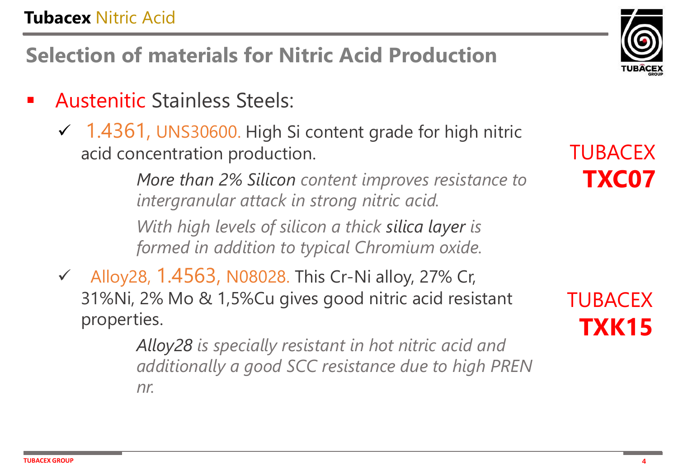### **Tubacex** Nitric Acid

**Selection of materials for Nitric Acid Production**

- **Austenitic Stainless Steels:** 
	- $\checkmark$  1.4361, UNS30600. High Si content grade for high nitric acid concentration production.

*More than 2% Silicon content improves resistance to intergranular attack in strong nitric acid. With high levels of silicon a thick silica layer is formed in addition to typical Chromium oxide.* 

✓ Alloy28, 1.4563, N08028. This Cr-Ni alloy, 27% Cr, 31%Ni, 2% Mo & 1,5%Cu gives good nitric acid resistant properties.

> *Alloy28 is specially resistant in hot nitric acid and additionally a good SCC resistance due to high PREN nr.*

TUBACEX **TXC07**